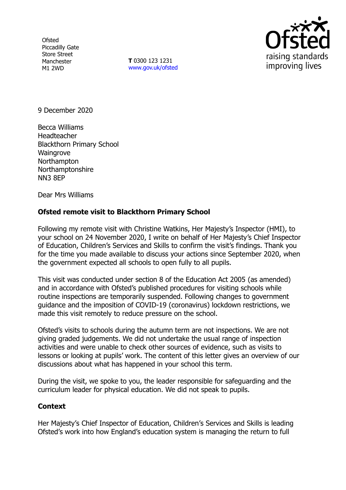**Ofsted** Piccadilly Gate Store Street Manchester M1 2WD

**T** 0300 123 1231 [www.gov.uk/ofsted](http://www.gov.uk/ofsted)



9 December 2020

Becca Williams **Headteacher** Blackthorn Primary School **Waingrove Northampton** Northamptonshire NN3 8EP

Dear Mrs Williams

## **Ofsted remote visit to Blackthorn Primary School**

Following my remote visit with Christine Watkins, Her Majesty's Inspector (HMI), to your school on 24 November 2020, I write on behalf of Her Majesty's Chief Inspector of Education, Children's Services and Skills to confirm the visit's findings. Thank you for the time you made available to discuss your actions since September 2020, when the government expected all schools to open fully to all pupils.

This visit was conducted under section 8 of the Education Act 2005 (as amended) and in accordance with Ofsted's published procedures for visiting schools while routine inspections are temporarily suspended. Following changes to government guidance and the imposition of COVID-19 (coronavirus) lockdown restrictions, we made this visit remotely to reduce pressure on the school.

Ofsted's visits to schools during the autumn term are not inspections. We are not giving graded judgements. We did not undertake the usual range of inspection activities and were unable to check other sources of evidence, such as visits to lessons or looking at pupils' work. The content of this letter gives an overview of our discussions about what has happened in your school this term.

During the visit, we spoke to you, the leader responsible for safeguarding and the curriculum leader for physical education. We did not speak to pupils.

## **Context**

Her Majesty's Chief Inspector of Education, Children's Services and Skills is leading Ofsted's work into how England's education system is managing the return to full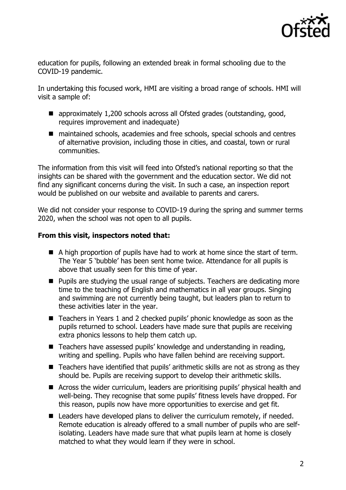

education for pupils, following an extended break in formal schooling due to the COVID-19 pandemic.

In undertaking this focused work, HMI are visiting a broad range of schools. HMI will visit a sample of:

- approximately 1,200 schools across all Ofsted grades (outstanding, good, requires improvement and inadequate)
- maintained schools, academies and free schools, special schools and centres of alternative provision, including those in cities, and coastal, town or rural communities.

The information from this visit will feed into Ofsted's national reporting so that the insights can be shared with the government and the education sector. We did not find any significant concerns during the visit. In such a case, an inspection report would be published on our website and available to parents and carers.

We did not consider your response to COVID-19 during the spring and summer terms 2020, when the school was not open to all pupils.

## **From this visit, inspectors noted that:**

- A high proportion of pupils have had to work at home since the start of term. The Year 5 'bubble' has been sent home twice. Attendance for all pupils is above that usually seen for this time of year.
- Pupils are studying the usual range of subjects. Teachers are dedicating more time to the teaching of English and mathematics in all year groups. Singing and swimming are not currently being taught, but leaders plan to return to these activities later in the year.
- Teachers in Years 1 and 2 checked pupils' phonic knowledge as soon as the pupils returned to school. Leaders have made sure that pupils are receiving extra phonics lessons to help them catch up.
- Teachers have assessed pupils' knowledge and understanding in reading, writing and spelling. Pupils who have fallen behind are receiving support.
- Teachers have identified that pupils' arithmetic skills are not as strong as they should be. Pupils are receiving support to develop their arithmetic skills.
- Across the wider curriculum, leaders are prioritising pupils' physical health and well-being. They recognise that some pupils' fitness levels have dropped. For this reason, pupils now have more opportunities to exercise and get fit.
- Leaders have developed plans to deliver the curriculum remotely, if needed. Remote education is already offered to a small number of pupils who are selfisolating. Leaders have made sure that what pupils learn at home is closely matched to what they would learn if they were in school.